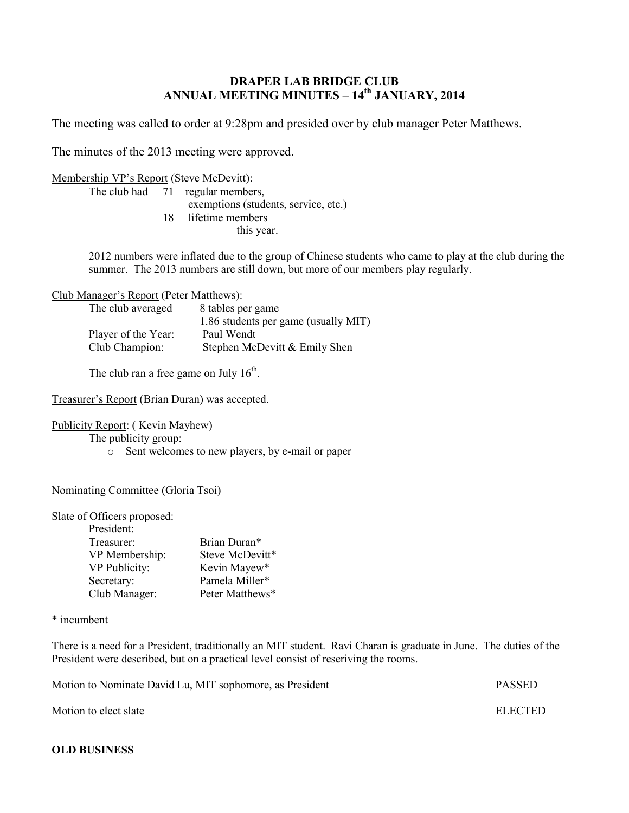# **DRAPER LAB BRIDGE CLUB ANNUAL MEETING MINUTES – 14 th JANUARY, 2014**

The meeting was called to order at 9:28pm and presided over by club manager Peter Matthews.

The minutes of the 2013 meeting were approved.

Membership VP's Report (Steve McDevitt):

The club had 71 regular members, exemptions (students, service, etc.) 18 lifetime members this year.

2012 numbers were inflated due to the group of Chinese students who came to play at the club during the summer. The 2013 numbers are still down, but more of our members play regularly.

Club Manager's Report (Peter Matthews):

| The club averaged   | 8 tables per game                    |
|---------------------|--------------------------------------|
|                     | 1.86 students per game (usually MIT) |
| Player of the Year: | Paul Wendt                           |
| Club Champion:      | Stephen McDevitt & Emily Shen        |

The club ran a free game on July  $16<sup>th</sup>$ .

Treasurer's Report (Brian Duran) was accepted.

Publicity Report: ( Kevin Mayhew)

The publicity group:

o Sent welcomes to new players, by e-mail or paper

Nominating Committee (Gloria Tsoi)

Slate of Officers proposed:

| President:     |                 |
|----------------|-----------------|
| Treasurer:     | Brian Duran*    |
| VP Membership: | Steve McDevitt* |
| VP Publicity:  | Kevin Mayew*    |
| Secretary:     | Pamela Miller*  |
| Club Manager:  | Peter Matthews* |

\* incumbent

There is a need for a President, traditionally an MIT student. Ravi Charan is graduate in June. The duties of the President were described, but on a practical level consist of reseriving the rooms.

Motion to Nominate David Lu, MIT sophomore, as President **PASSED** 

Motion to elect slate ELECTED

**OLD BUSINESS**